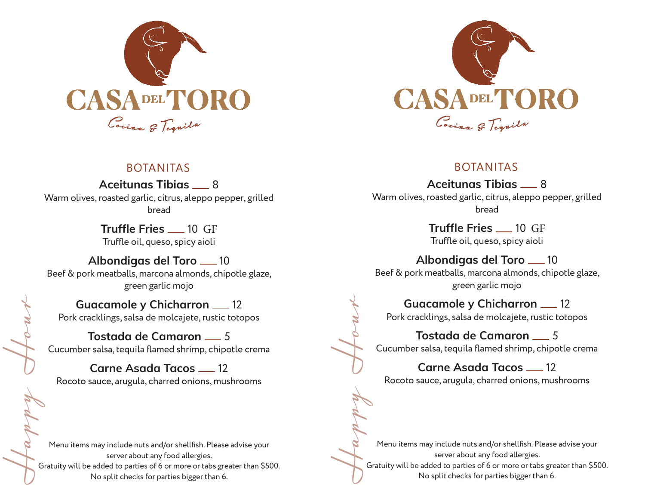

## BOTANITAS

**Aceitunas Tibias** 8 Warm olives, roasted garlic, citrus, aleppo pepper, grilled bread

> **Truffle Fries** 10 GF Truffle oil, queso, spicy aioli

**Albondigas del Toro** 10 Beef & pork meatballs, marcona almonds, chipotle glaze, green garlic mojo

**Guacamole y Chicharron 12** Pork cracklings, salsa de molcajete, rustic totopos

**Tostada de Camaron** 5 Cucumber salsa, tequila flamed shrimp, chipotle crema

**Carne Asada Tacos 12** Rocoto sauce, arugula, charred onions, mushrooms

Happy Hour Menu items may include nuts and/or shellfish. Please advise your server about any food allergies. Gratuity will be added to parties of 6 or more or tabs greater than \$500. No split checks for parties bigger than 6.



# BOTANITAS

Aceitunas Tibias <sub>28</sub> Warm olives, roasted garlic, citrus, aleppo pepper, grilled bread

> **Truffle Fries 10 GF** Truffle oil, queso, spicy aioli

**Albondigas del Toro** 10 Beef & pork meatballs, marcona almonds, chipotle glaze, green garlic mojo

**Guacamole y Chicharron 12** Pork cracklings, salsa de molcajete, rustic totopos

**Tostada de Camaron** \_\_ 5 Cucumber salsa, tequila flamed shrimp, chipotle crema

**Carne Asada Tacos 12** Rocoto sauce, arugula, charred onions, mushrooms

Happy Hour Menu items may include nuts and/or shellfish. Please advise your server about any food allergies. Gratuity will be added to parties of 6 or more or tabs greater than \$500. No split checks for parties bigger than 6.